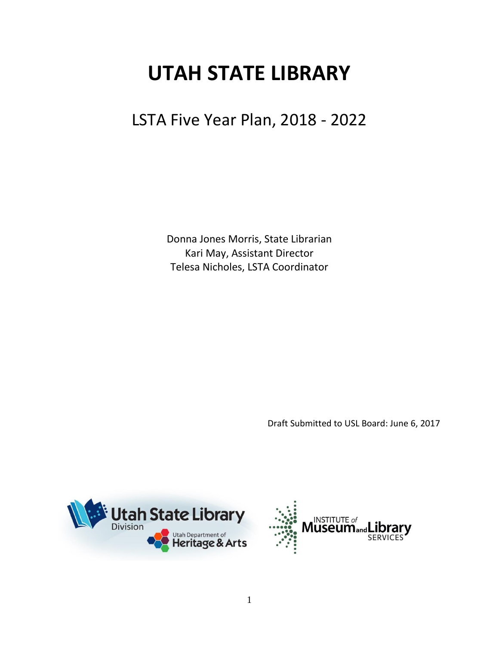# **UTAH STATE LIBRARY**

# LSTA Five Year Plan, 2018 - 2022

Donna Jones Morris, State Librarian Kari May, Assistant Director Telesa Nicholes, LSTA Coordinator

Draft Submitted to USL Board: June 6, 2017



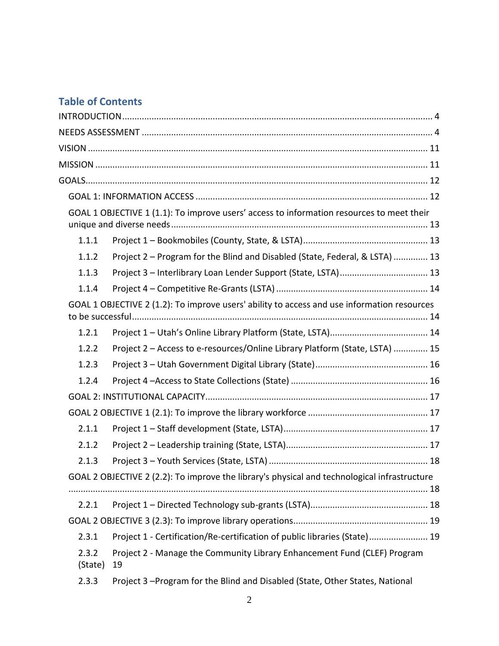# **Table of Contents**

|                  | GOAL 1 OBJECTIVE 1 (1.1): To improve users' access to information resources to meet their    |
|------------------|----------------------------------------------------------------------------------------------|
| 1.1.1            |                                                                                              |
| 1.1.2            | Project 2 - Program for the Blind and Disabled (State, Federal, & LSTA)  13                  |
| 1.1.3            |                                                                                              |
| 1.1.4            |                                                                                              |
|                  | GOAL 1 OBJECTIVE 2 (1.2): To improve users' ability to access and use information resources  |
| 1.2.1            |                                                                                              |
| 1.2.2            | Project 2 - Access to e-resources/Online Library Platform (State, LSTA)  15                  |
| 1.2.3            |                                                                                              |
| 1.2.4            |                                                                                              |
|                  |                                                                                              |
|                  |                                                                                              |
| 2.1.1            |                                                                                              |
| 2.1.2            |                                                                                              |
| 2.1.3            |                                                                                              |
|                  | GOAL 2 OBJECTIVE 2 (2.2): To improve the library's physical and technological infrastructure |
| 2.2.1            |                                                                                              |
|                  |                                                                                              |
| 2.3.1            | Project 1 - Certification/Re-certification of public libraries (State) 19                    |
| 2.3.2<br>(State) | Project 2 - Manage the Community Library Enhancement Fund (CLEF) Program<br>19               |
| 2.3.3            | Project 3-Program for the Blind and Disabled (State, Other States, National                  |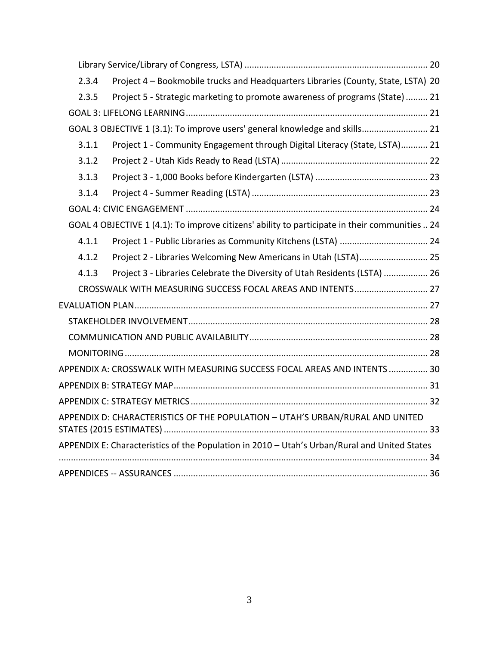| 2.3.4 | Project 4 - Bookmobile trucks and Headquarters Libraries (County, State, LSTA) 20              |  |
|-------|------------------------------------------------------------------------------------------------|--|
| 2.3.5 | Project 5 - Strategic marketing to promote awareness of programs (State)  21                   |  |
|       |                                                                                                |  |
|       | GOAL 3 OBJECTIVE 1 (3.1): To improve users' general knowledge and skills 21                    |  |
| 3.1.1 | Project 1 - Community Engagement through Digital Literacy (State, LSTA) 21                     |  |
| 3.1.2 |                                                                                                |  |
| 3.1.3 |                                                                                                |  |
| 3.1.4 |                                                                                                |  |
|       |                                                                                                |  |
|       | GOAL 4 OBJECTIVE 1 (4.1): To improve citizens' ability to participate in their communities  24 |  |
| 4.1.1 |                                                                                                |  |
| 4.1.2 | Project 2 - Libraries Welcoming New Americans in Utah (LSTA) 25                                |  |
| 4.1.3 | Project 3 - Libraries Celebrate the Diversity of Utah Residents (LSTA)  26                     |  |
|       | CROSSWALK WITH MEASURING SUCCESS FOCAL AREAS AND INTENTS 27                                    |  |
|       |                                                                                                |  |
|       |                                                                                                |  |
|       |                                                                                                |  |
|       |                                                                                                |  |
|       | APPENDIX A: CROSSWALK WITH MEASURING SUCCESS FOCAL AREAS AND INTENTS  30                       |  |
|       |                                                                                                |  |
|       |                                                                                                |  |
|       | APPENDIX D: CHARACTERISTICS OF THE POPULATION - UTAH'S URBAN/RURAL AND UNITED                  |  |
|       | APPENDIX E: Characteristics of the Population in 2010 - Utah's Urban/Rural and United States   |  |
|       |                                                                                                |  |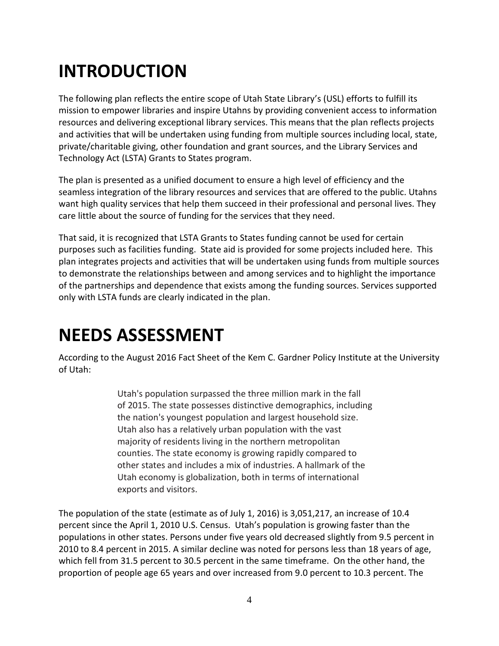# <span id="page-3-0"></span>**INTRODUCTION**

The following plan reflects the entire scope of Utah State Library's (USL) efforts to fulfill its mission to empower libraries and inspire Utahns by providing convenient access to information resources and delivering exceptional library services. This means that the plan reflects projects and activities that will be undertaken using funding from multiple sources including local, state, private/charitable giving, other foundation and grant sources, and the Library Services and Technology Act (LSTA) Grants to States program.

The plan is presented as a unified document to ensure a high level of efficiency and the seamless integration of the library resources and services that are offered to the public. Utahns want high quality services that help them succeed in their professional and personal lives. They care little about the source of funding for the services that they need.

That said, it is recognized that LSTA Grants to States funding cannot be used for certain purposes such as facilities funding. State aid is provided for some projects included here. This plan integrates projects and activities that will be undertaken using funds from multiple sources to demonstrate the relationships between and among services and to highlight the importance of the partnerships and dependence that exists among the funding sources. Services supported only with LSTA funds are clearly indicated in the plan.

# <span id="page-3-1"></span>**NEEDS ASSESSMENT**

According to the August 2016 Fact Sheet of the Kem C. Gardner Policy Institute at the University of Utah:

> Utah's population surpassed the three million mark in the fall of 2015. The state possesses distinctive demographics, including the nation's youngest population and largest household size. Utah also has a relatively urban population with the vast majority of residents living in the northern metropolitan counties. The state economy is growing rapidly compared to other states and includes a mix of industries. A hallmark of the Utah economy is globalization, both in terms of international exports and visitors.

The population of the state (estimate as of July 1, 2016) is 3,051,217, an increase of 10.4 percent since the April 1, 2010 U.S. Census. Utah's population is growing faster than the populations in other states. Persons under five years old decreased slightly from 9.5 percent in 2010 to 8.4 percent in 2015. A similar decline was noted for persons less than 18 years of age, which fell from 31.5 percent to 30.5 percent in the same timeframe. On the other hand, the proportion of people age 65 years and over increased from 9.0 percent to 10.3 percent. The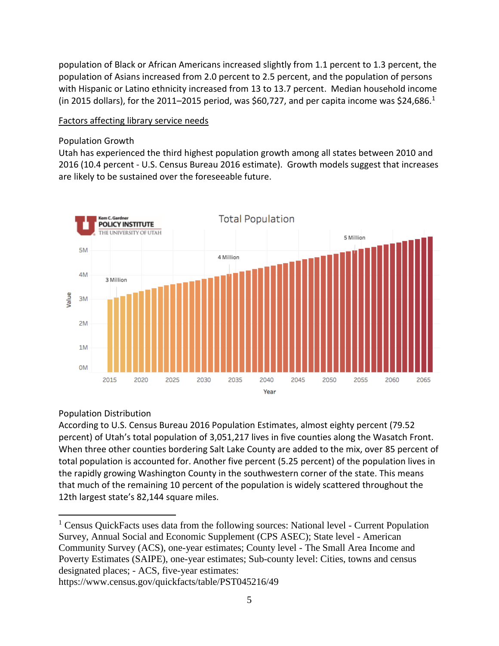population of Black or African Americans increased slightly from 1.1 percent to 1.3 percent, the population of Asians increased from 2.0 percent to 2.5 percent, and the population of persons with Hispanic or Latino ethnicity increased from 13 to 13.7 percent. Median household income (in 2015 dollars), for the 2011–2015 period, was \$60,727, and per capita income was \$24,686.<sup>1</sup>

#### Factors affecting library service needs

#### Population Growth

Utah has experienced the third highest population growth among all states between 2010 and 2016 (10.4 percent - U.S. Census Bureau 2016 estimate). Growth models suggest that increases are likely to be sustained over the foreseeable future.



### Population Distribution

According to U.S. Census Bureau 2016 Population Estimates, almost eighty percent (79.52 percent) of Utah's total population of 3,051,217 lives in five counties along the Wasatch Front. When three other counties bordering Salt Lake County are added to the mix, over 85 percent of total population is accounted for. Another five percent (5.25 percent) of the population lives in the rapidly growing Washington County in the southwestern corner of the state. This means that much of the remaining 10 percent of the population is widely scattered throughout the 12th largest state's 82,144 square miles.

 $\overline{a}$ <sup>1</sup> Census QuickFacts uses data from the following sources: National level - Current Population Survey, Annual Social and Economic Supplement (CPS ASEC); State level - American Community Survey (ACS), one-year estimates; County level - The Small Area Income and Poverty Estimates (SAIPE), one-year estimates; Sub-county level: Cities, towns and census designated places; - ACS, five-year estimates:

https://www.census.gov/quickfacts/table/PST045216/49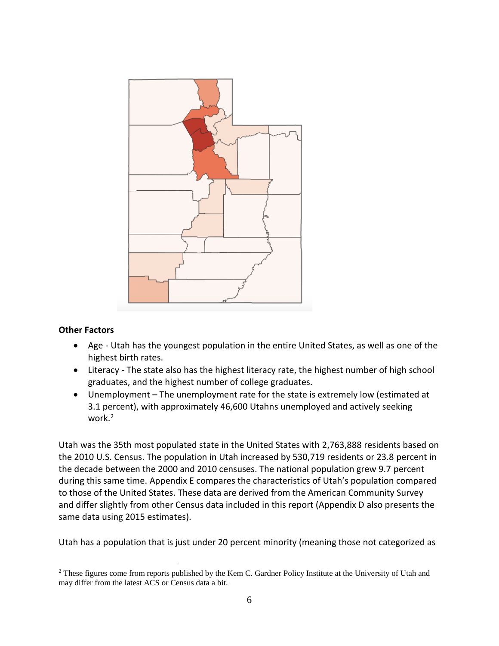

#### **Other Factors**

 $\overline{a}$ 

- Age Utah has the youngest population in the entire United States, as well as one of the highest birth rates.
- Literacy The state also has the highest literacy rate, the highest number of high school graduates, and the highest number of college graduates.
- Unemployment The unemployment rate for the state is extremely low (estimated at 3.1 percent), with approximately 46,600 Utahns unemployed and actively seeking work.<sup>2</sup>

Utah was the 35th most populated state in the United States with 2,763,888 residents based on the 2010 U.S. Census. The population in Utah increased by 530,719 residents or 23.8 percent in the decade between the 2000 and 2010 censuses. The national population grew 9.7 percent during this same time. Appendix E compares the characteristics of Utah's population compared to those of the United States. These data are derived from the American Community Survey and differ slightly from other Census data included in this report (Appendix D also presents the same data using 2015 estimates).

Utah has a population that is just under 20 percent minority (meaning those not categorized as

<sup>&</sup>lt;sup>2</sup> These figures come from reports published by the Kem C. Gardner Policy Institute at the University of Utah and may differ from the latest ACS or Census data a bit.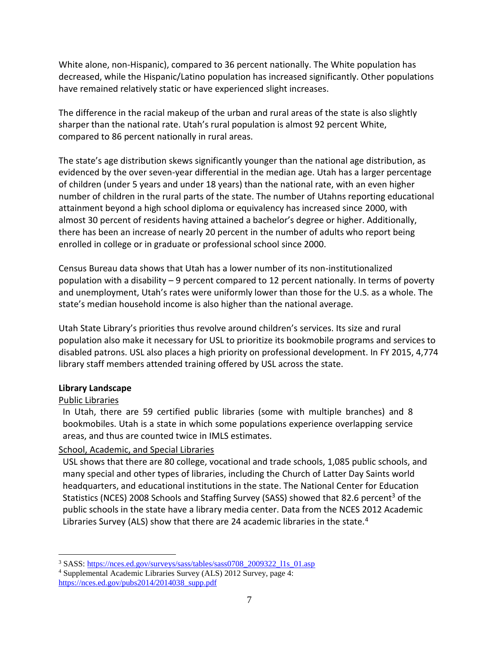White alone, non-Hispanic), compared to 36 percent nationally. The White population has decreased, while the Hispanic/Latino population has increased significantly. Other populations have remained relatively static or have experienced slight increases.

The difference in the racial makeup of the urban and rural areas of the state is also slightly sharper than the national rate. Utah's rural population is almost 92 percent White, compared to 86 percent nationally in rural areas.

The state's age distribution skews significantly younger than the national age distribution, as evidenced by the over seven-year differential in the median age. Utah has a larger percentage of children (under 5 years and under 18 years) than the national rate, with an even higher number of children in the rural parts of the state. The number of Utahns reporting educational attainment beyond a high school diploma or equivalency has increased since 2000, with almost 30 percent of residents having attained a bachelor's degree or higher. Additionally, there has been an increase of nearly 20 percent in the number of adults who report being enrolled in college or in graduate or professional school since 2000.

Census Bureau data shows that Utah has a lower number of its non-institutionalized population with a disability – 9 percent compared to 12 percent nationally. In terms of poverty and unemployment, Utah's rates were uniformly lower than those for the U.S. as a whole. The state's median household income is also higher than the national average.

Utah State Library's priorities thus revolve around children's services. Its size and rural population also make it necessary for USL to prioritize its bookmobile programs and services to disabled patrons. USL also places a high priority on professional development. In FY 2015, 4,774 library staff members attended training offered by USL across the state.

### **Library Landscape**

### Public Libraries

In Utah, there are 59 certified public libraries (some with multiple branches) and 8 bookmobiles. Utah is a state in which some populations experience overlapping service areas, and thus are counted twice in IMLS estimates.

### School, Academic, and Special Libraries

USL shows that there are 80 college, vocational and trade schools, 1,085 public schools, and many special and other types of libraries, including the Church of Latter Day Saints world headquarters, and educational institutions in the state. The National Center for Education Statistics (NCES) 2008 Schools and Staffing Survey (SASS) showed that 82.6 percent<sup>3</sup> of the public schools in the state have a library media center. Data from the NCES 2012 Academic Libraries Survey (ALS) show that there are 24 academic libraries in the state.<sup>4</sup>

 $\overline{a}$ <sup>3</sup> SASS: [https://nces.ed.gov/surveys/sass/tables/sass0708\\_2009322\\_l1s\\_01.asp](https://nces.ed.gov/surveys/sass/tables/sass0708_2009322_l1s_01.asp)

<sup>4</sup> Supplemental Academic Libraries Survey (ALS) 2012 Survey, page 4: [https://nces.ed.gov/pubs2014/2014038\\_supp.pdf](https://nces.ed.gov/pubs2014/2014038_supp.pdf)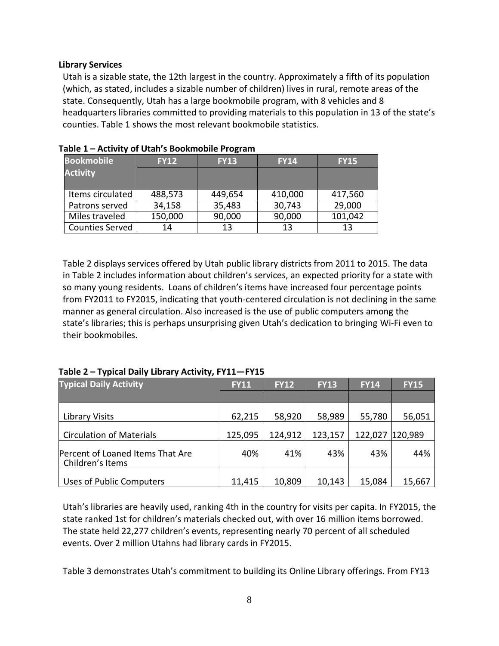#### **Library Services**

Utah is a sizable state, the 12th largest in the country. Approximately a fifth of its population (which, as stated, includes a sizable number of children) lives in rural, remote areas of the state. Consequently, Utah has a large bookmobile program, with 8 vehicles and 8 headquarters libraries committed to providing materials to this population in 13 of the state's counties. Table 1 shows the most relevant bookmobile statistics.

| <b>Bookmobile</b>      | <b>FY12</b> | <b>FY13</b> | <b>FY14</b> | <b>FY15</b> |
|------------------------|-------------|-------------|-------------|-------------|
| <b>Activity</b>        |             |             |             |             |
|                        |             |             |             |             |
| Items circulated       | 488,573     | 449,654     | 410,000     | 417,560     |
| Patrons served         | 34,158      | 35,483      | 30,743      | 29,000      |
| Miles traveled         | 150,000     | 90,000      | 90,000      | 101,042     |
| <b>Counties Served</b> | 14          | 13          | 13          | 13          |

|  |  |  | Table 1 - Activity of Utah's Bookmobile Program |  |
|--|--|--|-------------------------------------------------|--|
|--|--|--|-------------------------------------------------|--|

Table 2 displays services offered by Utah public library districts from 2011 to 2015. The data in Table 2 includes information about children's services, an expected priority for a state with so many young residents. Loans of children's items have increased four percentage points from FY2011 to FY2015, indicating that youth-centered circulation is not declining in the same manner as general circulation. Also increased is the use of public computers among the state's libraries; this is perhaps unsurprising given Utah's dedication to bringing Wi-Fi even to their bookmobiles.

### **Table 2 – Typical Daily Library Activity, FY11—FY15**

| <b>Typical Daily Activity</b>                        | <b>FY11</b> | <b>FY12</b> | <b>FY13</b> | <b>FY14</b> | <b>FY15</b> |
|------------------------------------------------------|-------------|-------------|-------------|-------------|-------------|
|                                                      |             |             |             |             |             |
| Library Visits                                       | 62,215      | 58,920      | 58,989      | 55,780      | 56,051      |
| <b>Circulation of Materials</b>                      | 125,095     | 124,912     | 123,157     | 122,027     | 120,989     |
| Percent of Loaned Items That Are<br>Children's Items | 40%         | 41%         | 43%         | 43%         | 44%         |
| <b>Uses of Public Computers</b>                      | 11,415      | 10,809      | 10,143      | 15,084      | 15,667      |

Utah's libraries are heavily used, ranking 4th in the country for visits per capita. In FY2015, the state ranked 1st for children's materials checked out, with over 16 million items borrowed. The state held 22,277 children's events, representing nearly 70 percent of all scheduled events. Over 2 million Utahns had library cards in FY2015.

Table 3 demonstrates Utah's commitment to building its Online Library offerings. From FY13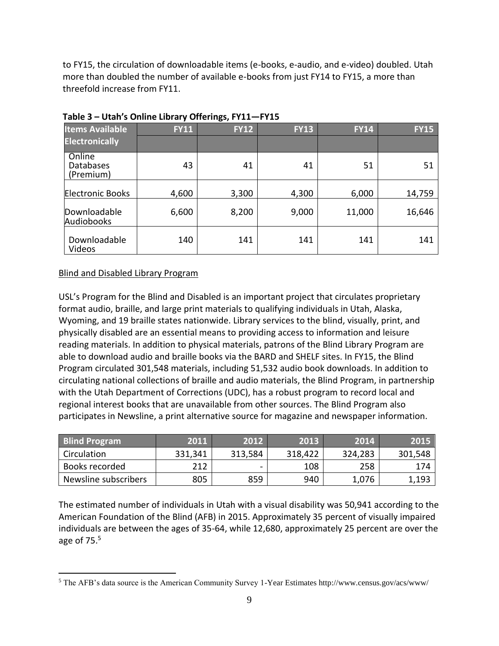to FY15, the circulation of downloadable items (e-books, e-audio, and e-video) doubled. Utah more than doubled the number of available e-books from just FY14 to FY15, a more than threefold increase from FY11.

|                                  |             | - -         |             |             |             |
|----------------------------------|-------------|-------------|-------------|-------------|-------------|
| <b>Items Available</b>           | <b>FY11</b> | <b>FY12</b> | <b>FY13</b> | <b>FY14</b> | <b>FY15</b> |
| <b>Electronically</b>            |             |             |             |             |             |
| Online<br>Databases<br>(Premium) | 43          | 41          | 41          | 51          | 51          |
| <b>Electronic Books</b>          | 4,600       | 3,300       | 4,300       | 6,000       | 14,759      |
| Downloadable<br>Audiobooks       | 6,600       | 8,200       | 9,000       | 11,000      | 16,646      |
| Downloadable<br>Videos           | 140         | 141         | 141         | 141         | 141         |

**Table 3 – Utah's Online Library Offerings, FY11—FY15**

#### Blind and Disabled Library Program

 $\overline{a}$ 

USL's Program for the Blind and Disabled is an important project that circulates proprietary format audio, braille, and large print materials to qualifying individuals in Utah, Alaska, Wyoming, and 19 braille states nationwide. Library services to the blind, visually, print, and physically disabled are an essential means to providing access to information and leisure reading materials. In addition to physical materials, patrons of the Blind Library Program are able to download audio and braille books via the BARD and SHELF sites. In FY15, the Blind Program circulated 301,548 materials, including 51,532 audio book downloads. In addition to circulating national collections of braille and audio materials, the Blind Program, in partnership with the Utah Department of Corrections (UDC), has a robust program to record local and regional interest books that are unavailable from other sources. The Blind Program also participates in Newsline, a print alternative source for magazine and newspaper information.

| <b>Blind Program</b> | 2011    | 2012    | 2013    | 2014    | <b>2015</b> |
|----------------------|---------|---------|---------|---------|-------------|
| Circulation          | 331,341 | 313,584 | 318,422 | 324,283 | 301,548     |
| Books recorded       | 212     | $\sim$  | 108     | 258     | 174         |
| Newsline subscribers | 805     | 859     | 940     | 1,076   | 1,193       |

The estimated number of individuals in Utah with a visual disability was 50,941 according to the American Foundation of the Blind (AFB) in 2015. Approximately 35 percent of visually impaired individuals are between the ages of 35-64, while 12,680, approximately 25 percent are over the age of  $75<sup>5</sup>$ 

<sup>5</sup> The AFB's data source is the American Community Survey 1-Year Estimates http://www.census.gov/acs/www/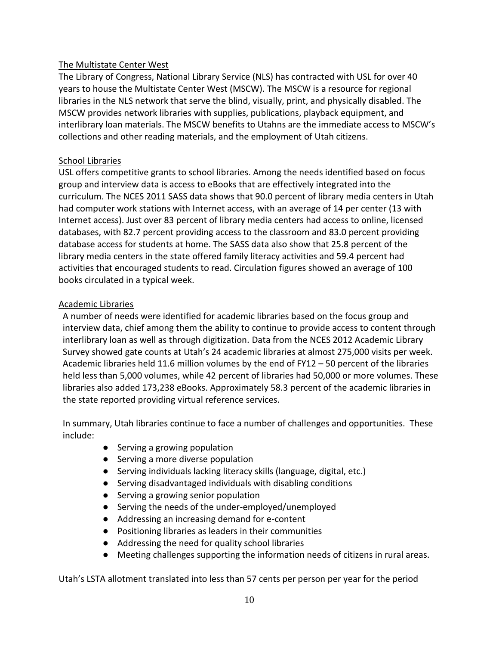#### The Multistate Center West

The Library of Congress, National Library Service (NLS) has contracted with USL for over 40 years to house the Multistate Center West (MSCW). The MSCW is a resource for regional libraries in the NLS network that serve the blind, visually, print, and physically disabled. The MSCW provides network libraries with supplies, publications, playback equipment, and interlibrary loan materials. The MSCW benefits to Utahns are the immediate access to MSCW's collections and other reading materials, and the employment of Utah citizens.

#### School Libraries

USL offers competitive grants to school libraries. Among the needs identified based on focus group and interview data is access to eBooks that are effectively integrated into the curriculum. The NCES 2011 SASS data shows that 90.0 percent of library media centers in Utah had computer work stations with Internet access, with an average of 14 per center (13 with Internet access). Just over 83 percent of library media centers had access to online, licensed databases, with 82.7 percent providing access to the classroom and 83.0 percent providing database access for students at home. The SASS data also show that 25.8 percent of the library media centers in the state offered family literacy activities and 59.4 percent had activities that encouraged students to read. Circulation figures showed an average of 100 books circulated in a typical week.

#### Academic Libraries

A number of needs were identified for academic libraries based on the focus group and interview data, chief among them the ability to continue to provide access to content through interlibrary loan as well as through digitization. Data from the NCES 2012 Academic Library Survey showed gate counts at Utah's 24 academic libraries at almost 275,000 visits per week. Academic libraries held 11.6 million volumes by the end of FY12 – 50 percent of the libraries held less than 5,000 volumes, while 42 percent of libraries had 50,000 or more volumes. These libraries also added 173,238 eBooks. Approximately 58.3 percent of the academic libraries in the state reported providing virtual reference services.

In summary, Utah libraries continue to face a number of challenges and opportunities. These include:

- Serving a growing population
- Serving a more diverse population
- Serving individuals lacking literacy skills (language, digital, etc.)
- Serving disadvantaged individuals with disabling conditions
- Serving a growing senior population
- Serving the needs of the under-employed/unemployed
- Addressing an increasing demand for e-content
- Positioning libraries as leaders in their communities
- Addressing the need for quality school libraries
- Meeting challenges supporting the information needs of citizens in rural areas.

Utah's LSTA allotment translated into less than 57 cents per person per year for the period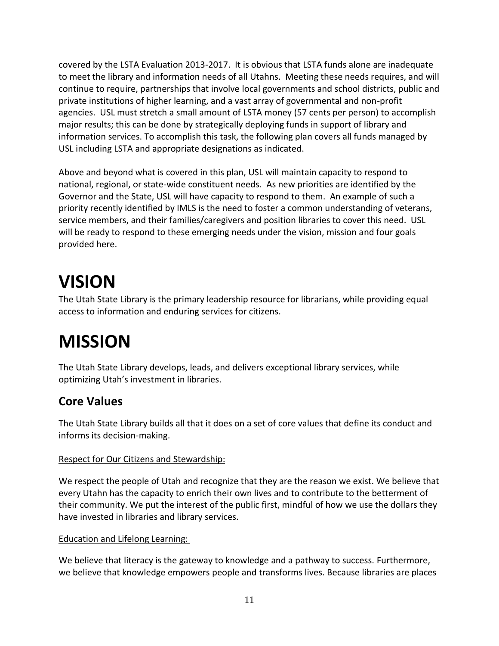covered by the LSTA Evaluation 2013-2017. It is obvious that LSTA funds alone are inadequate to meet the library and information needs of all Utahns. Meeting these needs requires, and will continue to require, partnerships that involve local governments and school districts, public and private institutions of higher learning, and a vast array of governmental and non-profit agencies. USL must stretch a small amount of LSTA money (57 cents per person) to accomplish major results; this can be done by strategically deploying funds in support of library and information services. To accomplish this task, the following plan covers all funds managed by USL including LSTA and appropriate designations as indicated.

Above and beyond what is covered in this plan, USL will maintain capacity to respond to national, regional, or state-wide constituent needs. As new priorities are identified by the Governor and the State, USL will have capacity to respond to them. An example of such a priority recently identified by IMLS is the need to foster a common understanding of veterans, service members, and their families/caregivers and position libraries to cover this need. USL will be ready to respond to these emerging needs under the vision, mission and four goals provided here.

# <span id="page-10-0"></span>**VISION**

The Utah State Library is the primary leadership resource for librarians, while providing equal access to information and enduring services for citizens.

# <span id="page-10-1"></span>**MISSION**

The Utah State Library develops, leads, and delivers exceptional library services, while optimizing Utah's investment in libraries.

# **Core Values**

The Utah State Library builds all that it does on a set of core values that define its conduct and informs its decision-making.

### Respect for Our Citizens and Stewardship:

We respect the people of Utah and recognize that they are the reason we exist. We believe that every Utahn has the capacity to enrich their own lives and to contribute to the betterment of their community. We put the interest of the public first, mindful of how we use the dollars they have invested in libraries and library services.

### Education and Lifelong Learning:

We believe that literacy is the gateway to knowledge and a pathway to success. Furthermore, we believe that knowledge empowers people and transforms lives. Because libraries are places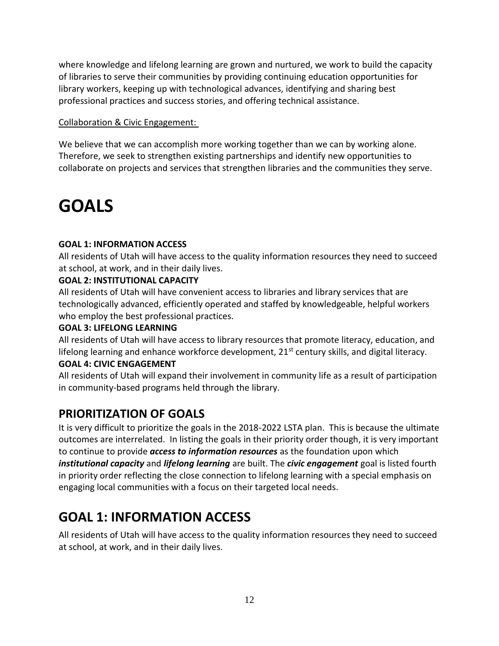where knowledge and lifelong learning are grown and nurtured, we work to build the capacity of libraries to serve their communities by providing continuing education opportunities for library workers, keeping up with technological advances, identifying and sharing best professional practices and success stories, and offering technical assistance.

### Collaboration & Civic Engagement:

We believe that we can accomplish more working together than we can by working alone. Therefore, we seek to strengthen existing partnerships and identify new opportunities to collaborate on projects and services that strengthen libraries and the communities they serve.

# <span id="page-11-0"></span>**GOALS**

### **GOAL 1: INFORMATION ACCESS**

All residents of Utah will have access to the quality information resources they need to succeed at school, at work, and in their daily lives.

### **GOAL 2: INSTITUTIONAL CAPACITY**

All residents of Utah will have convenient access to libraries and library services that are technologically advanced, efficiently operated and staffed by knowledgeable, helpful workers who employ the best professional practices.

### **GOAL 3: LIFELONG LEARNING**

All residents of Utah will have access to library resources that promote literacy, education, and lifelong learning and enhance workforce development,  $21<sup>st</sup>$  century skills, and digital literacy.

### **GOAL 4: CIVIC ENGAGEMENT**

All residents of Utah will expand their involvement in community life as a result of participation in community-based programs held through the library.

# **PRIORITIZATION OF GOALS**

It is very difficult to prioritize the goals in the 2018-2022 LSTA plan. This is because the ultimate outcomes are interrelated. In listing the goals in their priority order though, it is very important to continue to provide *access to information resources* as the foundation upon which *institutional capacity* and *lifelong learning* are built. The *civic engagement* goal is listed fourth in priority order reflecting the close connection to lifelong learning with a special emphasis on engaging local communities with a focus on their targeted local needs.

# <span id="page-11-1"></span>**GOAL 1: INFORMATION ACCESS**

All residents of Utah will have access to the quality information resources they need to succeed at school, at work, and in their daily lives.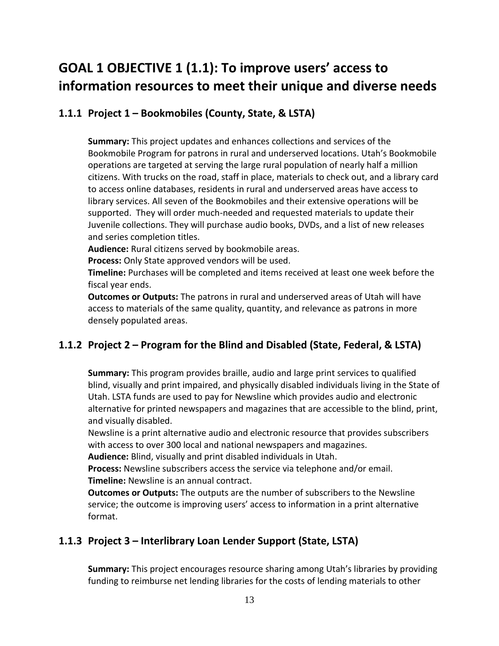# <span id="page-12-0"></span>**GOAL 1 OBJECTIVE 1 (1.1): To improve users' access to information resources to meet their unique and diverse needs**

## <span id="page-12-1"></span>**1.1.1 Project 1 – Bookmobiles (County, State, & LSTA)**

**Summary:** This project updates and enhances collections and services of the Bookmobile Program for patrons in rural and underserved locations. Utah's Bookmobile operations are targeted at serving the large rural population of nearly half a million citizens. With trucks on the road, staff in place, materials to check out, and a library card to access online databases, residents in rural and underserved areas have access to library services. All seven of the Bookmobiles and their extensive operations will be supported. They will order much-needed and requested materials to update their Juvenile collections. They will purchase audio books, DVDs, and a list of new releases and series completion titles.

**Audience:** Rural citizens served by bookmobile areas.

**Process:** Only State approved vendors will be used.

**Timeline:** Purchases will be completed and items received at least one week before the fiscal year ends.

**Outcomes or Outputs:** The patrons in rural and underserved areas of Utah will have access to materials of the same quality, quantity, and relevance as patrons in more densely populated areas.

## <span id="page-12-2"></span>**1.1.2 Project 2 – Program for the Blind and Disabled (State, Federal, & LSTA)**

**Summary:** This program provides braille, audio and large print services to qualified blind, visually and print impaired, and physically disabled individuals living in the State of Utah. LSTA funds are used to pay for Newsline which provides audio and electronic alternative for printed newspapers and magazines that are accessible to the blind, print, and visually disabled.

Newsline is a print alternative audio and electronic resource that provides subscribers with access to over 300 local and national newspapers and magazines.

**Audience:** Blind, visually and print disabled individuals in Utah.

**Process:** Newsline subscribers access the service via telephone and/or email. **Timeline:** Newsline is an annual contract.

**Outcomes or Outputs:** The outputs are the number of subscribers to the Newsline service; the outcome is improving users' access to information in a print alternative format.

## <span id="page-12-3"></span>**1.1.3 Project 3 – Interlibrary Loan Lender Support (State, LSTA)**

**Summary:** This project encourages resource sharing among Utah's libraries by providing funding to reimburse net lending libraries for the costs of lending materials to other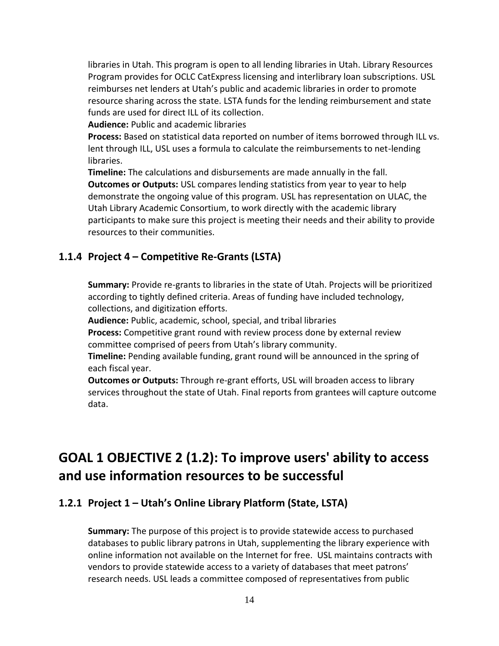libraries in Utah. This program is open to all lending libraries in Utah. Library Resources Program provides for OCLC CatExpress licensing and interlibrary loan subscriptions. USL reimburses net lenders at Utah's public and academic libraries in order to promote resource sharing across the state. LSTA funds for the lending reimbursement and state funds are used for direct ILL of its collection.

**Audience:** Public and academic libraries

**Process:** Based on statistical data reported on number of items borrowed through ILL vs. lent through ILL, USL uses a formula to calculate the reimbursements to net-lending libraries.

**Timeline:** The calculations and disbursements are made annually in the fall. **Outcomes or Outputs:** USL compares lending statistics from year to year to help demonstrate the ongoing value of this program. USL has representation on ULAC, the Utah Library Academic Consortium, to work directly with the academic library participants to make sure this project is meeting their needs and their ability to provide resources to their communities.

### <span id="page-13-0"></span>**1.1.4 Project 4 – Competitive Re-Grants (LSTA)**

**Summary:** Provide re-grants to libraries in the state of Utah. Projects will be prioritized according to tightly defined criteria. Areas of funding have included technology, collections, and digitization efforts.

**Audience:** Public, academic, school, special, and tribal libraries

**Process:** Competitive grant round with review process done by external review committee comprised of peers from Utah's library community.

**Timeline:** Pending available funding, grant round will be announced in the spring of each fiscal year.

**Outcomes or Outputs:** Through re-grant efforts, USL will broaden access to library services throughout the state of Utah. Final reports from grantees will capture outcome data.

# <span id="page-13-1"></span>**GOAL 1 OBJECTIVE 2 (1.2): To improve users' ability to access and use information resources to be successful**

### <span id="page-13-2"></span>**1.2.1 Project 1 – Utah's Online Library Platform (State, LSTA)**

**Summary:** The purpose of this project is to provide statewide access to purchased databases to public library patrons in Utah, supplementing the library experience with online information not available on the Internet for free. USL maintains contracts with vendors to provide statewide access to a variety of databases that meet patrons' research needs. USL leads a committee composed of representatives from public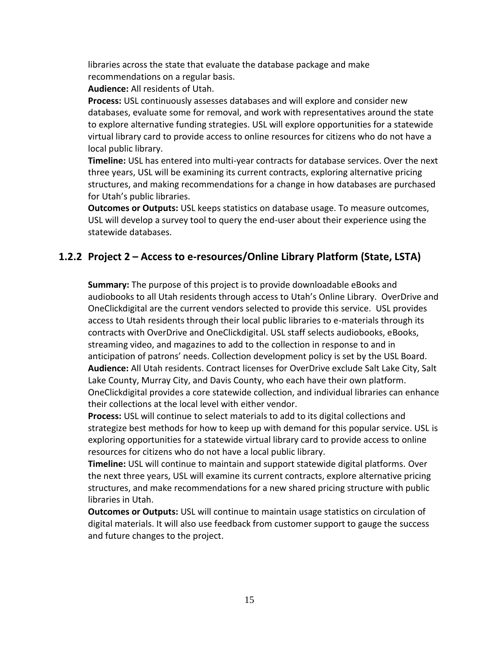libraries across the state that evaluate the database package and make recommendations on a regular basis.

**Audience:** All residents of Utah.

**Process:** USL continuously assesses databases and will explore and consider new databases, evaluate some for removal, and work with representatives around the state to explore alternative funding strategies. USL will explore opportunities for a statewide virtual library card to provide access to online resources for citizens who do not have a local public library.

**Timeline:** USL has entered into multi-year contracts for database services. Over the next three years, USL will be examining its current contracts, exploring alternative pricing structures, and making recommendations for a change in how databases are purchased for Utah's public libraries.

**Outcomes or Outputs:** USL keeps statistics on database usage. To measure outcomes, USL will develop a survey tool to query the end-user about their experience using the statewide databases.

## <span id="page-14-0"></span>**1.2.2 Project 2 – Access to e-resources/Online Library Platform (State, LSTA)**

**Summary:** The purpose of this project is to provide downloadable eBooks and audiobooks to all Utah residents through access to Utah's Online Library. OverDrive and OneClickdigital are the current vendors selected to provide this service. USL provides access to Utah residents through their local public libraries to e-materials through its contracts with OverDrive and OneClickdigital. USL staff selects audiobooks, eBooks, streaming video, and magazines to add to the collection in response to and in anticipation of patrons' needs. Collection development policy is set by the USL Board. **Audience:** All Utah residents. Contract licenses for OverDrive exclude Salt Lake City, Salt Lake County, Murray City, and Davis County, who each have their own platform. OneClickdigital provides a core statewide collection, and individual libraries can enhance their collections at the local level with either vendor.

**Process:** USL will continue to select materials to add to its digital collections and strategize best methods for how to keep up with demand for this popular service. USL is exploring opportunities for a statewide virtual library card to provide access to online resources for citizens who do not have a local public library.

**Timeline:** USL will continue to maintain and support statewide digital platforms. Over the next three years, USL will examine its current contracts, explore alternative pricing structures, and make recommendations for a new shared pricing structure with public libraries in Utah.

**Outcomes or Outputs:** USL will continue to maintain usage statistics on circulation of digital materials. It will also use feedback from customer support to gauge the success and future changes to the project.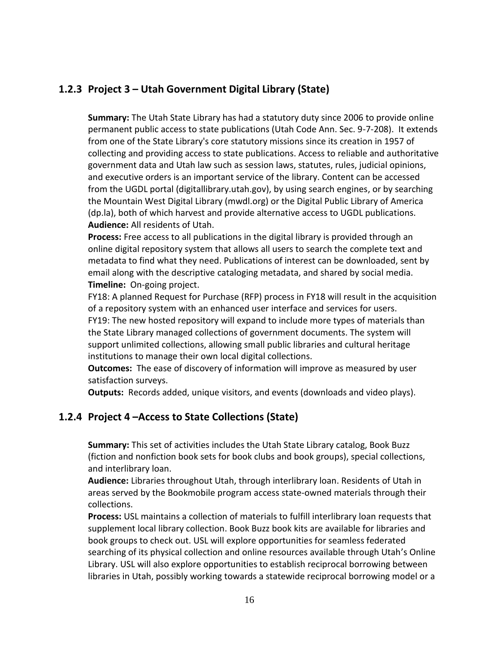# <span id="page-15-0"></span>**1.2.3 Project 3 – Utah Government Digital Library (State)**

**Summary:** The Utah State Library has had a statutory duty since 2006 to provide online permanent public access to state publications (Utah Code Ann. Sec. 9-7-208). It extends from one of the State Library's core statutory missions since its creation in 1957 of collecting and providing access to state publications. Access to reliable and authoritative government data and Utah law such as session laws, statutes, rules, judicial opinions, and executive orders is an important service of the library. Content can be accessed from the UGDL portal (digitallibrary.utah.gov), by using search engines, or by searching the Mountain West Digital Library (mwdl.org) or the Digital Public Library of America (dp.la), both of which harvest and provide alternative access to UGDL publications. **Audience:** All residents of Utah.

**Process:** Free access to all publications in the digital library is provided through an online digital repository system that allows all users to search the complete text and metadata to find what they need. Publications of interest can be downloaded, sent by email along with the descriptive cataloging metadata, and shared by social media. **Timeline:** On-going project.

FY18: A planned Request for Purchase (RFP) process in FY18 will result in the acquisition of a repository system with an enhanced user interface and services for users. FY19: The new hosted repository will expand to include more types of materials than the State Library managed collections of government documents. The system will support unlimited collections, allowing small public libraries and cultural heritage institutions to manage their own local digital collections.

**Outcomes:** The ease of discovery of information will improve as measured by user satisfaction surveys.

**Outputs:** Records added, unique visitors, and events (downloads and video plays).

### <span id="page-15-1"></span>**1.2.4 Project 4 –Access to State Collections (State)**

**Summary:** This set of activities includes the Utah State Library catalog, Book Buzz (fiction and nonfiction book sets for book clubs and book groups), special collections, and interlibrary loan.

**Audience:** Libraries throughout Utah, through interlibrary loan. Residents of Utah in areas served by the Bookmobile program access state-owned materials through their collections.

**Process:** USL maintains a collection of materials to fulfill interlibrary loan requests that supplement local library collection. Book Buzz book kits are available for libraries and book groups to check out. USL will explore opportunities for seamless federated searching of its physical collection and online resources available through Utah's Online Library. USL will also explore opportunities to establish reciprocal borrowing between libraries in Utah, possibly working towards a statewide reciprocal borrowing model or a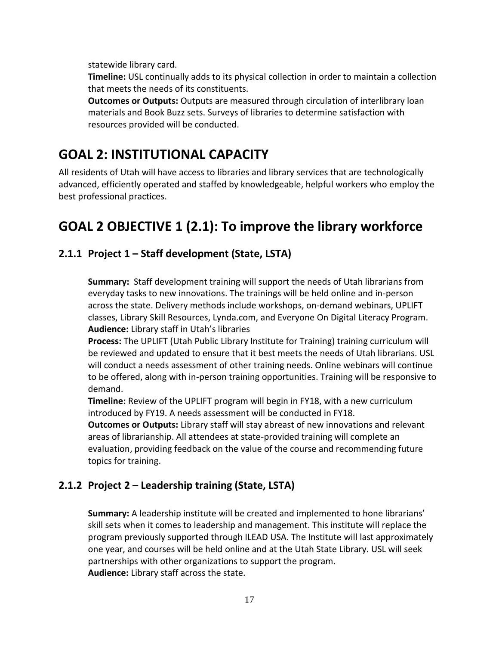statewide library card.

**Timeline:** USL continually adds to its physical collection in order to maintain a collection that meets the needs of its constituents.

**Outcomes or Outputs:** Outputs are measured through circulation of interlibrary loan materials and Book Buzz sets. Surveys of libraries to determine satisfaction with resources provided will be conducted.

# <span id="page-16-0"></span>**GOAL 2: INSTITUTIONAL CAPACITY**

All residents of Utah will have access to libraries and library services that are technologically advanced, efficiently operated and staffed by knowledgeable, helpful workers who employ the best professional practices.

# <span id="page-16-1"></span>**GOAL 2 OBJECTIVE 1 (2.1): To improve the library workforce**

## <span id="page-16-2"></span>**2.1.1 Project 1 – Staff development (State, LSTA)**

**Summary:** Staff development training will support the needs of Utah librarians from everyday tasks to new innovations. The trainings will be held online and in-person across the state. Delivery methods include workshops, on-demand webinars, UPLIFT classes, Library Skill Resources, Lynda.com, and Everyone On Digital Literacy Program. **Audience:** Library staff in Utah's libraries

**Process:** The UPLIFT (Utah Public Library Institute for Training) training curriculum will be reviewed and updated to ensure that it best meets the needs of Utah librarians. USL will conduct a needs assessment of other training needs. Online webinars will continue to be offered, along with in-person training opportunities. Training will be responsive to demand.

**Timeline:** Review of the UPLIFT program will begin in FY18, with a new curriculum introduced by FY19. A needs assessment will be conducted in FY18.

**Outcomes or Outputs:** Library staff will stay abreast of new innovations and relevant areas of librarianship. All attendees at state-provided training will complete an evaluation, providing feedback on the value of the course and recommending future topics for training.

## <span id="page-16-3"></span>**2.1.2 Project 2 – Leadership training (State, LSTA)**

**Summary:** A leadership institute will be created and implemented to hone librarians' skill sets when it comes to leadership and management. This institute will replace the program previously supported through ILEAD USA. The Institute will last approximately one year, and courses will be held online and at the Utah State Library. USL will seek partnerships with other organizations to support the program. **Audience:** Library staff across the state.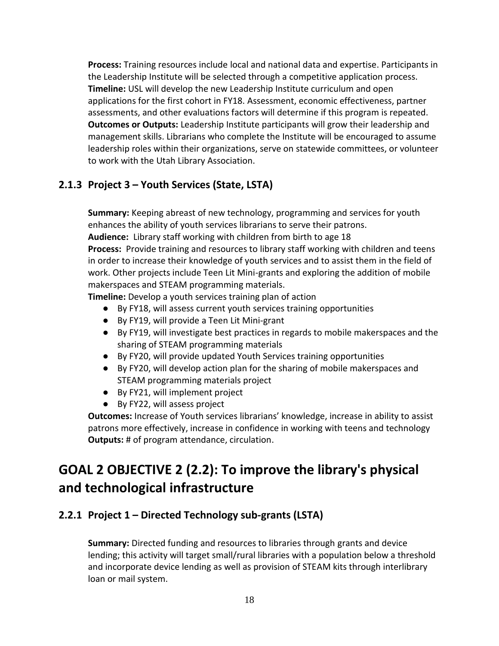**Process:** Training resources include local and national data and expertise. Participants in the Leadership Institute will be selected through a competitive application process. **Timeline:** USL will develop the new Leadership Institute curriculum and open applications for the first cohort in FY18. Assessment, economic effectiveness, partner assessments, and other evaluations factors will determine if this program is repeated. **Outcomes or Outputs:** Leadership Institute participants will grow their leadership and management skills. Librarians who complete the Institute will be encouraged to assume leadership roles within their organizations, serve on statewide committees, or volunteer to work with the Utah Library Association.

## <span id="page-17-0"></span>**2.1.3 Project 3 – Youth Services (State, LSTA)**

**Summary:** Keeping abreast of new technology, programming and services for youth enhances the ability of youth services librarians to serve their patrons. **Audience:** Library staff working with children from birth to age 18

**Process:** Provide training and resources to library staff working with children and teens in order to increase their knowledge of youth services and to assist them in the field of work. Other projects include Teen Lit Mini-grants and exploring the addition of mobile makerspaces and STEAM programming materials.

**Timeline:** Develop a youth services training plan of action

- By FY18, will assess current youth services training opportunities
- By FY19, will provide a Teen Lit Mini-grant
- By FY19, will investigate best practices in regards to mobile makerspaces and the sharing of STEAM programming materials
- By FY20, will provide updated Youth Services training opportunities
- By FY20, will develop action plan for the sharing of mobile makerspaces and STEAM programming materials project
- By FY21, will implement project
- By FY22, will assess project

**Outcomes:** Increase of Youth services librarians' knowledge, increase in ability to assist patrons more effectively, increase in confidence in working with teens and technology **Outputs:** # of program attendance, circulation.

# <span id="page-17-1"></span>**GOAL 2 OBJECTIVE 2 (2.2): To improve the library's physical and technological infrastructure**

## <span id="page-17-2"></span>**2.2.1 Project 1 – Directed Technology sub-grants (LSTA)**

**Summary:** Directed funding and resources to libraries through grants and device lending; this activity will target small/rural libraries with a population below a threshold and incorporate device lending as well as provision of STEAM kits through interlibrary loan or mail system.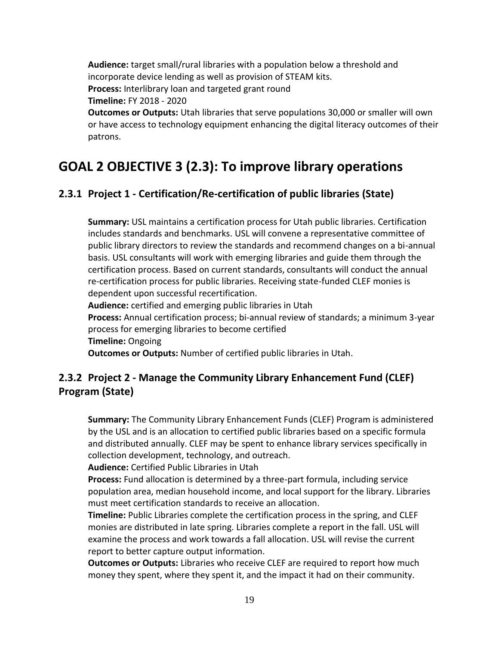**Audience:** target small/rural libraries with a population below a threshold and incorporate device lending as well as provision of STEAM kits. **Process:** Interlibrary loan and targeted grant round

**Timeline:** FY 2018 - 2020

**Outcomes or Outputs:** Utah libraries that serve populations 30,000 or smaller will own or have access to technology equipment enhancing the digital literacy outcomes of their patrons.

# <span id="page-18-0"></span>**GOAL 2 OBJECTIVE 3 (2.3): To improve library operations**

## <span id="page-18-1"></span>**2.3.1 Project 1 - Certification/Re-certification of public libraries (State)**

**Summary:** USL maintains a certification process for Utah public libraries. Certification includes standards and benchmarks. USL will convene a representative committee of public library directors to review the standards and recommend changes on a bi-annual basis. USL consultants will work with emerging libraries and guide them through the certification process. Based on current standards, consultants will conduct the annual re-certification process for public libraries. Receiving state-funded CLEF monies is dependent upon successful recertification. **Audience:** certified and emerging public libraries in Utah **Process:** Annual certification process; bi-annual review of standards; a minimum 3-year process for emerging libraries to become certified

**Timeline:** Ongoing

**Outcomes or Outputs:** Number of certified public libraries in Utah.

## <span id="page-18-2"></span>**2.3.2 Project 2 - Manage the Community Library Enhancement Fund (CLEF) Program (State)**

**Summary:** The Community Library Enhancement Funds (CLEF) Program is administered by the USL and is an allocation to certified public libraries based on a specific formula and distributed annually. CLEF may be spent to enhance library services specifically in collection development, technology, and outreach.

**Audience:** Certified Public Libraries in Utah

**Process:** Fund allocation is determined by a three-part formula, including service population area, median household income, and local support for the library. Libraries must meet certification standards to receive an allocation.

**Timeline:** Public Libraries complete the certification process in the spring, and CLEF monies are distributed in late spring. Libraries complete a report in the fall. USL will examine the process and work towards a fall allocation. USL will revise the current report to better capture output information.

**Outcomes or Outputs:** Libraries who receive CLEF are required to report how much money they spent, where they spent it, and the impact it had on their community.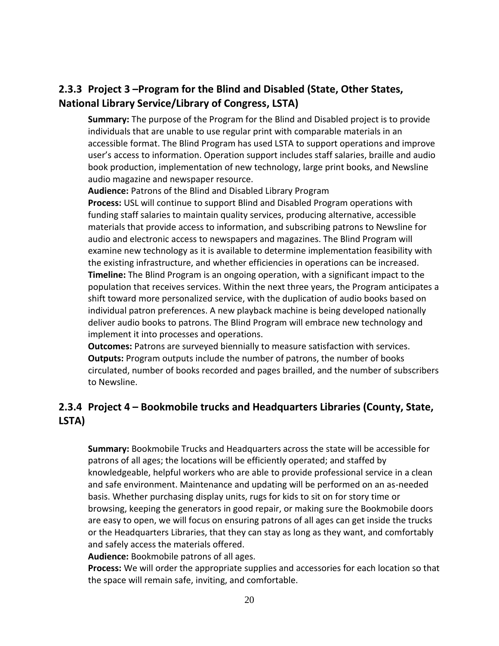# <span id="page-19-0"></span>**2.3.3 Project 3 –Program for the Blind and Disabled (State, Other States, National Library Service/Library of Congress, LSTA)**

**Summary:** The purpose of the Program for the Blind and Disabled project is to provide individuals that are unable to use regular print with comparable materials in an accessible format. The Blind Program has used LSTA to support operations and improve user's access to information. Operation support includes staff salaries, braille and audio book production, implementation of new technology, large print books, and Newsline audio magazine and newspaper resource.

**Audience:** Patrons of the Blind and Disabled Library Program

**Process:** USL will continue to support Blind and Disabled Program operations with funding staff salaries to maintain quality services, producing alternative, accessible materials that provide access to information, and subscribing patrons to Newsline for audio and electronic access to newspapers and magazines. The Blind Program will examine new technology as it is available to determine implementation feasibility with the existing infrastructure, and whether efficiencies in operations can be increased. **Timeline:** The Blind Program is an ongoing operation, with a significant impact to the population that receives services. Within the next three years, the Program anticipates a shift toward more personalized service, with the duplication of audio books based on individual patron preferences. A new playback machine is being developed nationally deliver audio books to patrons. The Blind Program will embrace new technology and implement it into processes and operations.

**Outcomes:** Patrons are surveyed biennially to measure satisfaction with services. **Outputs:** Program outputs include the number of patrons, the number of books circulated, number of books recorded and pages brailled, and the number of subscribers to Newsline.

## <span id="page-19-1"></span>**2.3.4 Project 4 – Bookmobile trucks and Headquarters Libraries (County, State, LSTA)**

**Summary:** Bookmobile Trucks and Headquarters across the state will be accessible for patrons of all ages; the locations will be efficiently operated; and staffed by knowledgeable, helpful workers who are able to provide professional service in a clean and safe environment. Maintenance and updating will be performed on an as-needed basis. Whether purchasing display units, rugs for kids to sit on for story time or browsing, keeping the generators in good repair, or making sure the Bookmobile doors are easy to open, we will focus on ensuring patrons of all ages can get inside the trucks or the Headquarters Libraries, that they can stay as long as they want, and comfortably and safely access the materials offered.

**Audience:** Bookmobile patrons of all ages.

**Process:** We will order the appropriate supplies and accessories for each location so that the space will remain safe, inviting, and comfortable.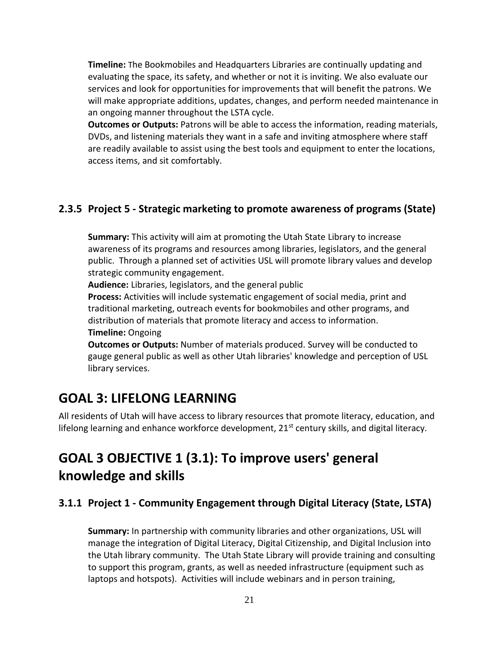**Timeline:** The Bookmobiles and Headquarters Libraries are continually updating and evaluating the space, its safety, and whether or not it is inviting. We also evaluate our services and look for opportunities for improvements that will benefit the patrons. We will make appropriate additions, updates, changes, and perform needed maintenance in an ongoing manner throughout the LSTA cycle.

**Outcomes or Outputs:** Patrons will be able to access the information, reading materials, DVDs, and listening materials they want in a safe and inviting atmosphere where staff are readily available to assist using the best tools and equipment to enter the locations, access items, and sit comfortably.

## <span id="page-20-0"></span>**2.3.5 Project 5 - Strategic marketing to promote awareness of programs (State)**

**Summary:** This activity will aim at promoting the Utah State Library to increase awareness of its programs and resources among libraries, legislators, and the general public. Through a planned set of activities USL will promote library values and develop strategic community engagement.

**Audience:** Libraries, legislators, and the general public

**Process:** Activities will include systematic engagement of social media, print and traditional marketing, outreach events for bookmobiles and other programs, and distribution of materials that promote literacy and access to information. **Timeline:** Ongoing

**Outcomes or Outputs:** Number of materials produced. Survey will be conducted to gauge general public as well as other Utah libraries' knowledge and perception of USL library services.

# <span id="page-20-1"></span>**GOAL 3: LIFELONG LEARNING**

All residents of Utah will have access to library resources that promote literacy, education, and lifelong learning and enhance workforce development, 21<sup>st</sup> century skills, and digital literacy.

# <span id="page-20-2"></span>**GOAL 3 OBJECTIVE 1 (3.1): To improve users' general knowledge and skills**

## <span id="page-20-3"></span>**3.1.1 Project 1 - Community Engagement through Digital Literacy (State, LSTA)**

**Summary:** In partnership with community libraries and other organizations, USL will manage the integration of Digital Literacy, Digital Citizenship, and Digital Inclusion into the Utah library community. The Utah State Library will provide training and consulting to support this program, grants, as well as needed infrastructure (equipment such as laptops and hotspots). Activities will include webinars and in person training,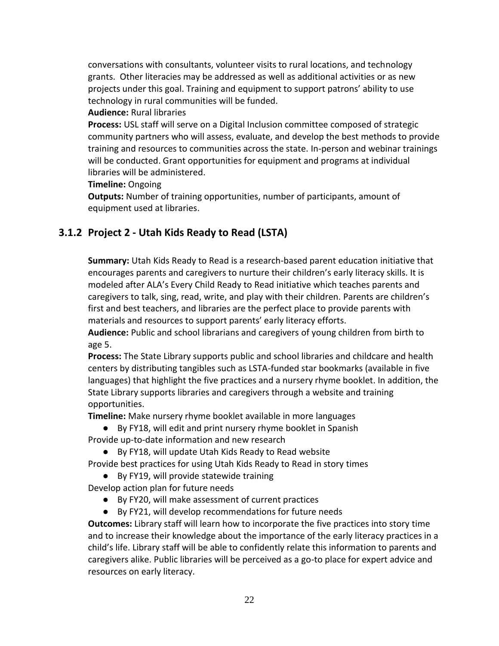conversations with consultants, volunteer visits to rural locations, and technology grants. Other literacies may be addressed as well as additional activities or as new projects under this goal. Training and equipment to support patrons' ability to use technology in rural communities will be funded.

### **Audience:** Rural libraries

**Process:** USL staff will serve on a Digital Inclusion committee composed of strategic community partners who will assess, evaluate, and develop the best methods to provide training and resources to communities across the state. In-person and webinar trainings will be conducted. Grant opportunities for equipment and programs at individual libraries will be administered.

### **Timeline:** Ongoing

**Outputs:** Number of training opportunities, number of participants, amount of equipment used at libraries.

# <span id="page-21-0"></span>**3.1.2 Project 2 - Utah Kids Ready to Read (LSTA)**

**Summary:** Utah Kids Ready to Read is a research-based parent education initiative that encourages parents and caregivers to nurture their children's early literacy skills. It is modeled after ALA's Every Child Ready to Read initiative which teaches parents and caregivers to talk, sing, read, write, and play with their children. Parents are children's first and best teachers, and libraries are the perfect place to provide parents with materials and resources to support parents' early literacy efforts.

**Audience:** Public and school librarians and caregivers of young children from birth to age 5.

**Process:** The State Library supports public and school libraries and childcare and health centers by distributing tangibles such as LSTA-funded star bookmarks (available in five languages) that highlight the five practices and a nursery rhyme booklet. In addition, the State Library supports libraries and caregivers through a website and training opportunities.

**Timeline:** Make nursery rhyme booklet available in more languages

● By FY18, will edit and print nursery rhyme booklet in Spanish Provide up-to-date information and new research

● By FY18, will update Utah Kids Ready to Read website

Provide best practices for using Utah Kids Ready to Read in story times

● By FY19, will provide statewide training

Develop action plan for future needs

- By FY20, will make assessment of current practices
- By FY21, will develop recommendations for future needs

**Outcomes:** Library staff will learn how to incorporate the five practices into story time and to increase their knowledge about the importance of the early literacy practices in a child's life. Library staff will be able to confidently relate this information to parents and caregivers alike. Public libraries will be perceived as a go-to place for expert advice and resources on early literacy.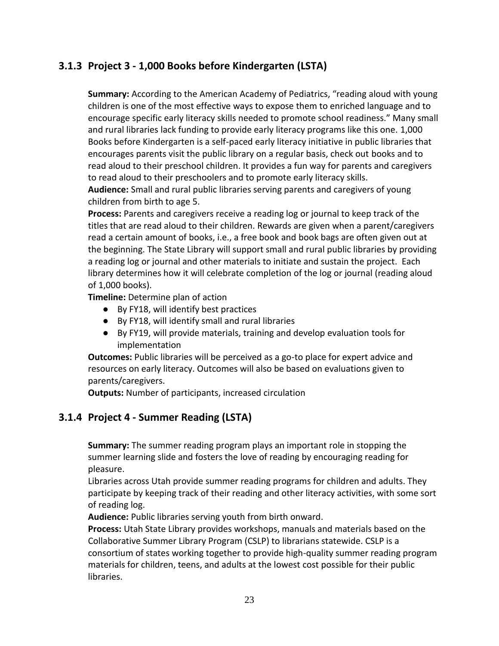## <span id="page-22-0"></span>**3.1.3 Project 3 - 1,000 Books before Kindergarten (LSTA)**

**Summary:** According to the American Academy of Pediatrics, "reading aloud with young children is one of the most effective ways to expose them to enriched language and to encourage specific early literacy skills needed to promote school readiness." Many small and rural libraries lack funding to provide early literacy programs like this one. 1,000 Books before Kindergarten is a self-paced early literacy initiative in public libraries that encourages parents visit the public library on a regular basis, check out books and to read aloud to their preschool children. It provides a fun way for parents and caregivers to read aloud to their preschoolers and to promote early literacy skills.

**Audience:** Small and rural public libraries serving parents and caregivers of young children from birth to age 5.

**Process:** Parents and caregivers receive a reading log or journal to keep track of the titles that are read aloud to their children. Rewards are given when a parent/caregivers read a certain amount of books, i.e., a free book and book bags are often given out at the beginning. The State Library will support small and rural public libraries by providing a reading log or journal and other materials to initiate and sustain the project. Each library determines how it will celebrate completion of the log or journal (reading aloud of 1,000 books).

**Timeline:** Determine plan of action

- By FY18, will identify best practices
- By FY18, will identify small and rural libraries
- By FY19, will provide materials, training and develop evaluation tools for implementation

**Outcomes:** Public libraries will be perceived as a go-to place for expert advice and resources on early literacy. Outcomes will also be based on evaluations given to parents/caregivers.

**Outputs:** Number of participants, increased circulation

## <span id="page-22-1"></span>**3.1.4 Project 4 - Summer Reading (LSTA)**

**Summary:** The summer reading program plays an important role in stopping the summer learning slide and fosters the love of reading by encouraging reading for pleasure.

Libraries across Utah provide summer reading programs for children and adults. They participate by keeping track of their reading and other literacy activities, with some sort of reading log.

**Audience:** Public libraries serving youth from birth onward.

**Process:** Utah State Library provides workshops, manuals and materials based on the Collaborative Summer Library Program (CSLP) to librarians statewide. CSLP is a consortium of states working together to provide high-quality summer reading program materials for children, teens, and adults at the lowest cost possible for their public libraries.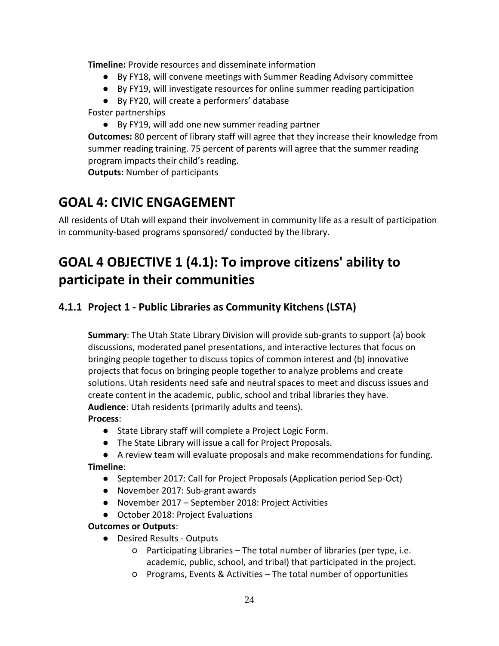**Timeline:** Provide resources and disseminate information

- By FY18, will convene meetings with Summer Reading Advisory committee
- By FY19, will investigate resources for online summer reading participation
- By FY20, will create a performers' database

Foster partnerships

● By FY19, will add one new summer reading partner

**Outcomes:** 80 percent of library staff will agree that they increase their knowledge from summer reading training. 75 percent of parents will agree that the summer reading program impacts their child's reading.

**Outputs:** Number of participants

# <span id="page-23-0"></span>**GOAL 4: CIVIC ENGAGEMENT**

All residents of Utah will expand their involvement in community life as a result of participation in community-based programs sponsored/ conducted by the library.

# <span id="page-23-1"></span>**GOAL 4 OBJECTIVE 1 (4.1): To improve citizens' ability to participate in their communities**

## <span id="page-23-2"></span>**4.1.1 Project 1 - Public Libraries as Community Kitchens (LSTA)**

**Summary**: The Utah State Library Division will provide sub-grants to support (a) book discussions, moderated panel presentations, and interactive lectures that focus on bringing people together to discuss topics of common interest and (b) innovative projects that focus on bringing people together to analyze problems and create solutions. Utah residents need safe and neutral spaces to meet and discuss issues and create content in the academic, public, school and tribal libraries they have. **Audience**: Utah residents (primarily adults and teens).

### **Process**:

- State Library staff will complete a Project Logic Form.
- The State Library will issue a call for Project Proposals.
- A review team will evaluate proposals and make recommendations for funding.

### **Timeline**:

- September 2017: Call for Project Proposals (Application period Sep-Oct)
- November 2017: Sub-grant awards
- November 2017 September 2018: Project Activities
- October 2018: Project Evaluations

### **Outcomes or Outputs**:

- Desired Results Outputs
	- Participating Libraries The total number of libraries (per type, i.e. academic, public, school, and tribal) that participated in the project.
	- Programs, Events & Activities The total number of opportunities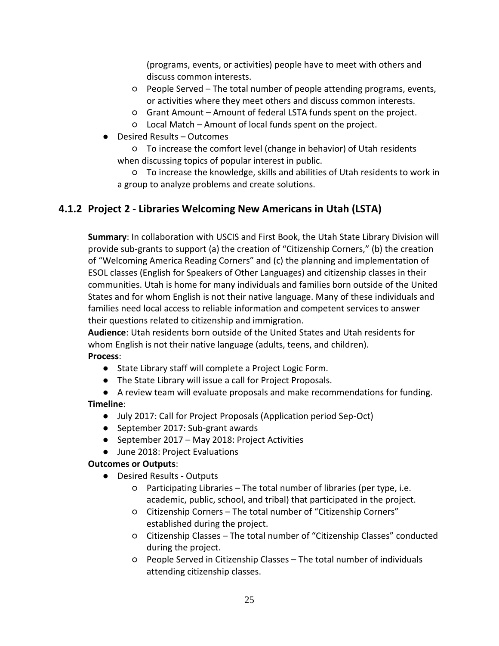(programs, events, or activities) people have to meet with others and discuss common interests.

- People Served The total number of people attending programs, events, or activities where they meet others and discuss common interests.
- Grant Amount Amount of federal LSTA funds spent on the project.
- Local Match Amount of local funds spent on the project.
- Desired Results Outcomes

○ To increase the comfort level (change in behavior) of Utah residents when discussing topics of popular interest in public.

○ To increase the knowledge, skills and abilities of Utah residents to work in a group to analyze problems and create solutions.

## <span id="page-24-0"></span>**4.1.2 Project 2 - Libraries Welcoming New Americans in Utah (LSTA)**

**Summary**: In collaboration with USCIS and First Book, the Utah State Library Division will provide sub-grants to support (a) the creation of "Citizenship Corners," (b) the creation of "Welcoming America Reading Corners" and (c) the planning and implementation of ESOL classes (English for Speakers of Other Languages) and citizenship classes in their communities. Utah is home for many individuals and families born outside of the United States and for whom English is not their native language. Many of these individuals and families need local access to reliable information and competent services to answer their questions related to citizenship and immigration.

**Audience**: Utah residents born outside of the United States and Utah residents for whom English is not their native language (adults, teens, and children).

### **Process**:

- State Library staff will complete a Project Logic Form.
- The State Library will issue a call for Project Proposals.
- A review team will evaluate proposals and make recommendations for funding.

#### **Timeline**:

- July 2017: Call for Project Proposals (Application period Sep-Oct)
- September 2017: Sub-grant awards
- September 2017 May 2018: Project Activities
- June 2018: Project Evaluations

#### **Outcomes or Outputs**:

- Desired Results Outputs
	- Participating Libraries The total number of libraries (per type, i.e. academic, public, school, and tribal) that participated in the project.
	- Citizenship Corners The total number of "Citizenship Corners" established during the project.
	- Citizenship Classes The total number of "Citizenship Classes" conducted during the project.
	- People Served in Citizenship Classes The total number of individuals attending citizenship classes.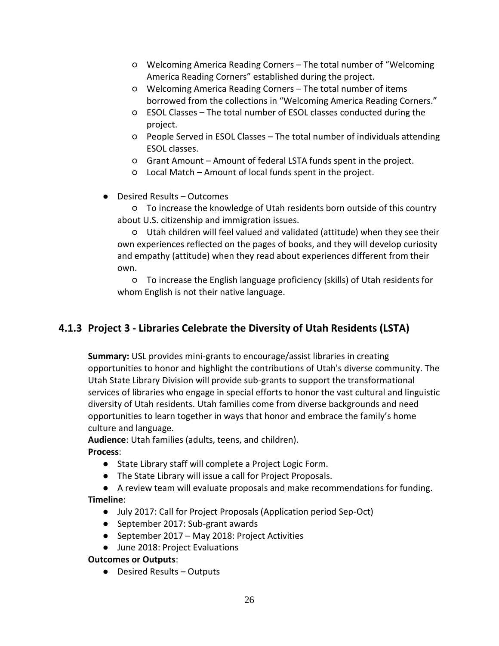- Welcoming America Reading Corners The total number of "Welcoming America Reading Corners" established during the project.
- Welcoming America Reading Corners The total number of items borrowed from the collections in "Welcoming America Reading Corners."
- ESOL Classes The total number of ESOL classes conducted during the project.
- People Served in ESOL Classes The total number of individuals attending ESOL classes.
- Grant Amount Amount of federal LSTA funds spent in the project.
- Local Match Amount of local funds spent in the project.
- Desired Results Outcomes

○ To increase the knowledge of Utah residents born outside of this country about U.S. citizenship and immigration issues.

○ Utah children will feel valued and validated (attitude) when they see their own experiences reflected on the pages of books, and they will develop curiosity and empathy (attitude) when they read about experiences different from their own.

○ To increase the English language proficiency (skills) of Utah residents for whom English is not their native language.

## <span id="page-25-0"></span>**4.1.3 Project 3 - Libraries Celebrate the Diversity of Utah Residents (LSTA)**

**Summary:** USL provides mini-grants to encourage/assist libraries in creating opportunities to honor and highlight the contributions of Utah's diverse community. The Utah State Library Division will provide sub-grants to support the transformational services of libraries who engage in special efforts to honor the vast cultural and linguistic diversity of Utah residents. Utah families come from diverse backgrounds and need opportunities to learn together in ways that honor and embrace the family's home culture and language.

**Audience**: Utah families (adults, teens, and children).

### **Process**:

- State Library staff will complete a Project Logic Form.
- The State Library will issue a call for Project Proposals.
- A review team will evaluate proposals and make recommendations for funding.

### **Timeline**:

- July 2017: Call for Project Proposals (Application period Sep-Oct)
- September 2017: Sub-grant awards
- September 2017 May 2018: Project Activities
- June 2018: Project Evaluations

### **Outcomes or Outputs**:

● Desired Results – Outputs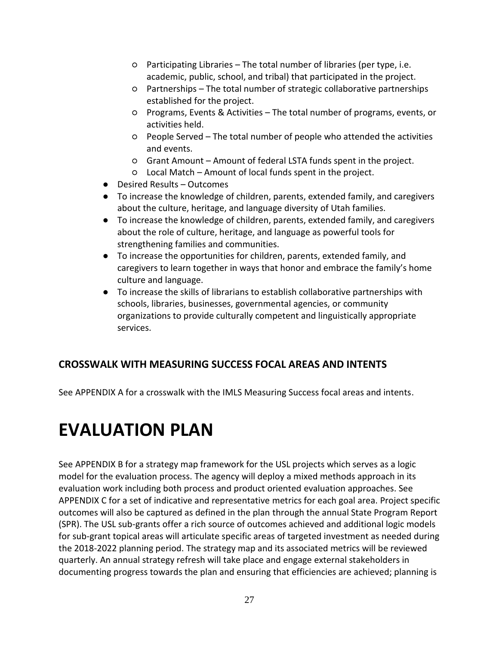- Participating Libraries The total number of libraries (per type, i.e. academic, public, school, and tribal) that participated in the project.
- Partnerships The total number of strategic collaborative partnerships established for the project.
- Programs, Events & Activities The total number of programs, events, or activities held.
- People Served The total number of people who attended the activities and events.
- Grant Amount Amount of federal LSTA funds spent in the project.
- Local Match Amount of local funds spent in the project.
- Desired Results Outcomes
- To increase the knowledge of children, parents, extended family, and caregivers about the culture, heritage, and language diversity of Utah families.
- To increase the knowledge of children, parents, extended family, and caregivers about the role of culture, heritage, and language as powerful tools for strengthening families and communities.
- To increase the opportunities for children, parents, extended family, and caregivers to learn together in ways that honor and embrace the family's home culture and language.
- To increase the skills of librarians to establish collaborative partnerships with schools, libraries, businesses, governmental agencies, or community organizations to provide culturally competent and linguistically appropriate services.

## <span id="page-26-0"></span>**CROSSWALK WITH MEASURING SUCCESS FOCAL AREAS AND INTENTS**

<span id="page-26-1"></span>See APPENDIX A for a crosswalk with the IMLS Measuring Success focal areas and intents.

# **EVALUATION PLAN**

See APPENDIX B for a strategy map framework for the USL projects which serves as a logic model for the evaluation process. The agency will deploy a mixed methods approach in its evaluation work including both process and product oriented evaluation approaches. See APPENDIX C for a set of indicative and representative metrics for each goal area. Project specific outcomes will also be captured as defined in the plan through the annual State Program Report (SPR). The USL sub-grants offer a rich source of outcomes achieved and additional logic models for sub-grant topical areas will articulate specific areas of targeted investment as needed during the 2018-2022 planning period. The strategy map and its associated metrics will be reviewed quarterly. An annual strategy refresh will take place and engage external stakeholders in documenting progress towards the plan and ensuring that efficiencies are achieved; planning is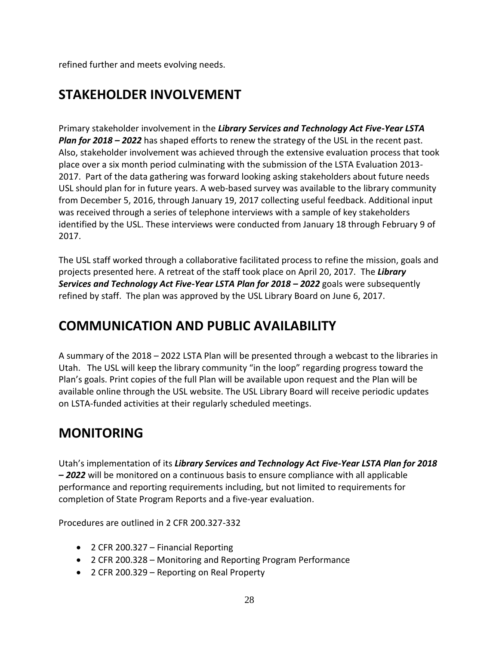<span id="page-27-0"></span>refined further and meets evolving needs.

# **STAKEHOLDER INVOLVEMENT**

Primary stakeholder involvement in the *Library Services and Technology Act Five-Year LSTA Plan for 2018 – 2022* has shaped efforts to renew the strategy of the USL in the recent past. Also, stakeholder involvement was achieved through the extensive evaluation process that took place over a six month period culminating with the submission of the LSTA Evaluation 2013- 2017. Part of the data gathering was forward looking asking stakeholders about future needs USL should plan for in future years. A web-based survey was available to the library community from December 5, 2016, through January 19, 2017 collecting useful feedback. Additional input was received through a series of telephone interviews with a sample of key stakeholders identified by the USL. These interviews were conducted from January 18 through February 9 of 2017.

The USL staff worked through a collaborative facilitated process to refine the mission, goals and projects presented here. A retreat of the staff took place on April 20, 2017. The *Library* **Services and Technology Act Five-Year LSTA Plan for 2018 – 2022 goals were subsequently** refined by staff. The plan was approved by the USL Library Board on June 6, 2017.

# <span id="page-27-1"></span>**COMMUNICATION AND PUBLIC AVAILABILITY**

A summary of the 2018 – 2022 LSTA Plan will be presented through a webcast to the libraries in Utah. The USL will keep the library community "in the loop" regarding progress toward the Plan's goals. Print copies of the full Plan will be available upon request and the Plan will be available online through the USL website. The USL Library Board will receive periodic updates on LSTA-funded activities at their regularly scheduled meetings.

# <span id="page-27-2"></span>**MONITORING**

Utah's implementation of its *Library Services and Technology Act Five-Year LSTA Plan for 2018 – 2022* will be monitored on a continuous basis to ensure compliance with all applicable performance and reporting requirements including, but not limited to requirements for completion of State Program Reports and a five-year evaluation.

Procedures are outlined in 2 CFR 200.327-332

- 2 CFR 200.327 Financial Reporting
- 2 CFR 200.328 Monitoring and Reporting Program Performance
- 2 CFR 200.329 Reporting on Real Property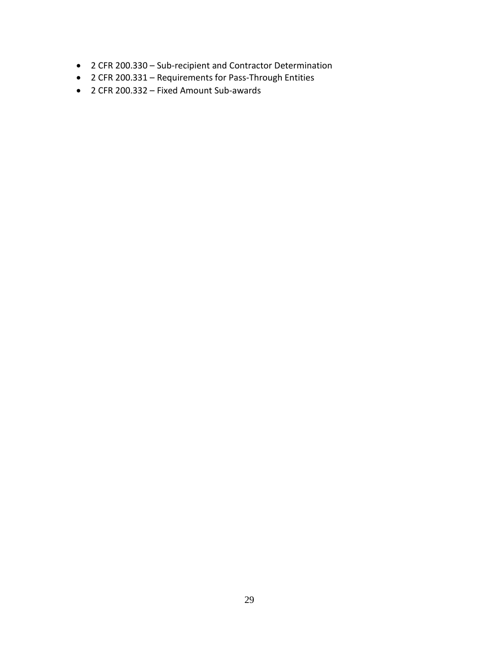- 2 CFR 200.330 Sub-recipient and Contractor Determination
- 2 CFR 200.331 Requirements for Pass-Through Entities
- 2 CFR 200.332 Fixed Amount Sub-awards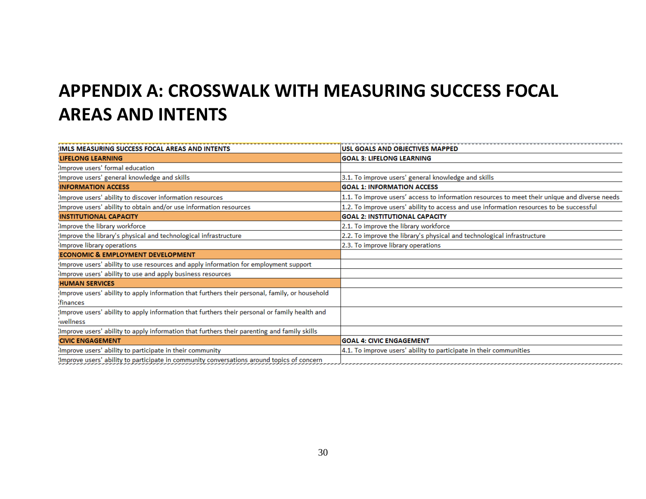# **APPENDIX A: CROSSWALK WITH MEASURING SUCCESS FOCAL AREAS AND INTENTS**

<span id="page-29-0"></span>

| <b>IMLS MEASURING SUCCESS FOCAL AREAS AND INTENTS</b>                                          | USL GOALS AND OBJECTIVES MAPPED                                                                                           |
|------------------------------------------------------------------------------------------------|---------------------------------------------------------------------------------------------------------------------------|
| LIFELONG LEARNING                                                                              | <b>GOAL 3: LIFELONG LEARNING</b>                                                                                          |
| Improve users' formal education                                                                |                                                                                                                           |
| Improve users' general knowledge and skills                                                    | 3.1. To improve users' general knowledge and skills                                                                       |
| <b>INFORMATION ACCESS</b>                                                                      | <b>GOAL 1: INFORMATION ACCESS</b>                                                                                         |
| Improve users' ability to discover information resources                                       | 1.1. To improve users' access to information resources to meet their unique and diverse needs                             |
| Improve users' ability to obtain and/or use information resources                              | 1.2. To improve users' ability to access and use information resources to be successful                                   |
| <b>INSTITUTIONAL CAPACITY</b>                                                                  | <b>GOAL 2: INSTITUTIONAL CAPACITY</b>                                                                                     |
| Improve the library workforce                                                                  | 2.1. To improve the library workforce                                                                                     |
| Improve the library's physical and technological infrastructure                                | 2.2. To improve the library's physical and technological infrastructure                                                   |
| Improve library operations                                                                     | 2.3. To improve library operations                                                                                        |
| <b>ECONOMIC &amp; EMPLOYMENT DEVELOPMENT</b>                                                   |                                                                                                                           |
| Improve users' ability to use resources and apply information for employment support           |                                                                                                                           |
| Improve users' ability to use and apply business resources                                     |                                                                                                                           |
| <b>HUMAN SERVICES</b>                                                                          |                                                                                                                           |
| Improve users' ability to apply information that furthers their personal, family, or household |                                                                                                                           |
| finances                                                                                       |                                                                                                                           |
| Improve users' ability to apply information that furthers their personal or family health and  |                                                                                                                           |
| wellness                                                                                       |                                                                                                                           |
| Improve users' ability to apply information that furthers their parenting and family skills    |                                                                                                                           |
| <b>CIVIC ENGAGEMENT</b>                                                                        | <b>GOAL 4: CIVIC ENGAGEMENT</b>                                                                                           |
| Improve users' ability to participate in their community                                       | 4.1. To improve users' ability to participate in their communities                                                        |
| Improve users' ability to participate in community conversations around topics of concern      | ים המונים המונים המונים המונים המונים המונים המונים המונים המונים המונים המונים המונים המונים המונים המונים המונים המונים |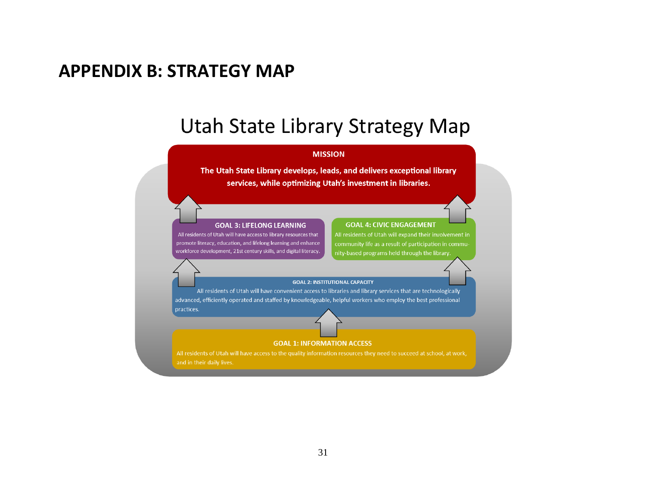# **APPENDIX B: STRATEGY MAP**

# Utah State Library Strategy Map

#### **MISSION**

The Utah State Library develops, leads, and delivers exceptional library services, while optimizing Utah's investment in libraries.

#### **GOAL 3: LIFELONG LEARNING**

<span id="page-30-0"></span>All residents of Utah will have access to library resources that promote literacy, education, and lifelong learning and enhance workforce development, 21st century skills, and digital literacy.

#### **GOAL 4: CIVIC ENGAGEMENT**

All residents of Utah will expand their involvement in community life as a result of participation in community-based programs held through the library.

#### **GOAL 2: INSTITUTIONAL CAPACITY**

All residents of Utah will have convenient access to libraries and library services that are technologically advanced, efficiently operated and staffed by knowledgeable, helpful workers who employ the best professional practices.

#### **GOAL 1: INFORMATION ACCESS**

All residents of Utah will have access to the quality information resources they need to succeed at school, at work, and in their daily lives.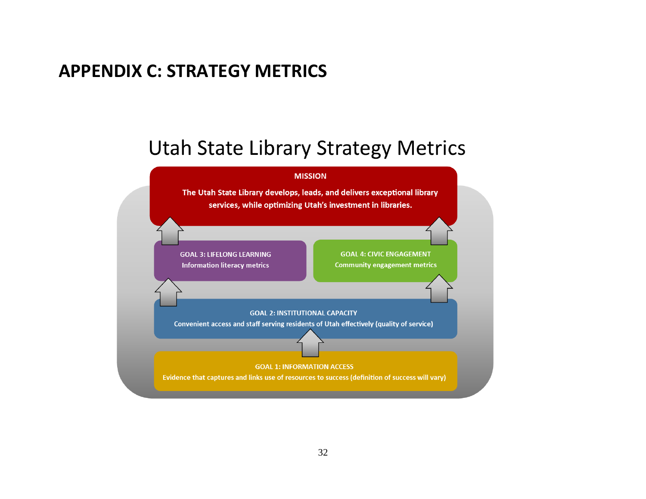# **APPENDIX C: STRATEGY METRICS**

# **Utah State Library Strategy Metrics**

<span id="page-31-0"></span>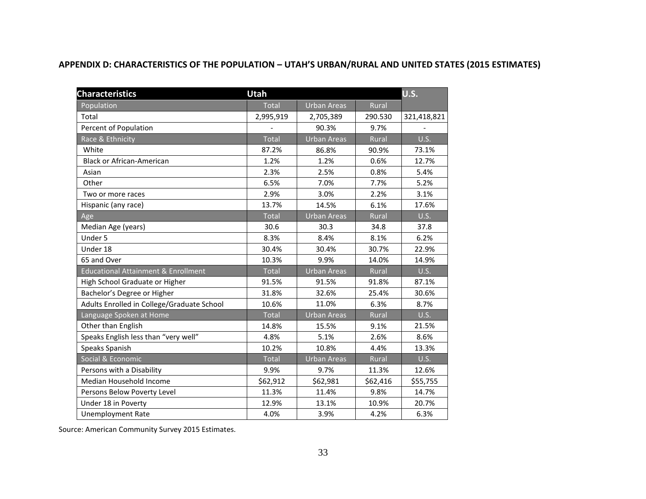#### **APPENDIX D: CHARACTERISTICS OF THE POPULATION – UTAH'S URBAN/RURAL AND UNITED STATES (2015 ESTIMATES)**

<span id="page-32-0"></span>

| <b>U.S.</b><br><b>Characteristics</b><br><b>Utah</b> |              |                    |              |             |
|------------------------------------------------------|--------------|--------------------|--------------|-------------|
| Population                                           | <b>Total</b> | <b>Urban Areas</b> | Rural        |             |
| Total                                                | 2,995,919    | 2,705,389          | 290.530      | 321,418,821 |
| Percent of Population                                |              | 90.3%              | 9.7%         |             |
| Race & Ethnicity                                     | <b>Total</b> | Urban Areas        | Rural        | U.S.        |
| White                                                | 87.2%        | 86.8%              | 90.9%        | 73.1%       |
| <b>Black or African-American</b>                     | 1.2%         | 1.2%               | 0.6%         | 12.7%       |
| Asian                                                | 2.3%         | 2.5%               | 0.8%         | 5.4%        |
| Other                                                | 6.5%         | 7.0%               | 7.7%         | 5.2%        |
| Two or more races                                    | 2.9%         | 3.0%               | 2.2%         | 3.1%        |
| Hispanic (any race)                                  | 13.7%        | 14.5%              | 6.1%         | 17.6%       |
| Age                                                  | <b>Total</b> | <b>Urban Areas</b> | Rural        | <b>U.S.</b> |
| Median Age (years)                                   | 30.6         | 30.3               | 34.8         | 37.8        |
| Under 5                                              | 8.3%         | 8.4%               | 8.1%         | 6.2%        |
| Under 18                                             | 30.4%        | 30.4%              | 30.7%        | 22.9%       |
| 65 and Over                                          | 10.3%        | 9.9%               | 14.0%        | 14.9%       |
| <b>Educational Attainment &amp; Enrollment</b>       | <b>Total</b> | <b>Urban Areas</b> | Rural        | U.S.        |
| High School Graduate or Higher                       | 91.5%        | 91.5%              | 91.8%        | 87.1%       |
| Bachelor's Degree or Higher                          | 31.8%        | 32.6%              | 25.4%        | 30.6%       |
| Adults Enrolled in College/Graduate School           | 10.6%        | 11.0%              | 6.3%         | 8.7%        |
| Language Spoken at Home                              | Total        | <b>Urban Areas</b> | Rural        | U.S.        |
| Other than English                                   | 14.8%        | 15.5%              | 9.1%         | 21.5%       |
| Speaks English less than "very well"                 | 4.8%         | 5.1%               | 2.6%         | 8.6%        |
| Speaks Spanish                                       | 10.2%        | 10.8%              | 4.4%         | 13.3%       |
| Social & Economic                                    | <b>Total</b> | Urban Areas        | <b>Rural</b> | U.S.        |
| Persons with a Disability                            | 9.9%         | 9.7%               | 11.3%        | 12.6%       |
| Median Household Income                              | \$62,912     | \$62,981           | \$62,416     | \$55,755    |
| Persons Below Poverty Level                          | 11.3%        | 11.4%              | 9.8%         | 14.7%       |
| Under 18 in Poverty                                  | 12.9%        | 13.1%              | 10.9%        | 20.7%       |
| <b>Unemployment Rate</b>                             | 4.0%         | 3.9%               | 4.2%         | 6.3%        |

Source: American Community Survey 2015 Estimates.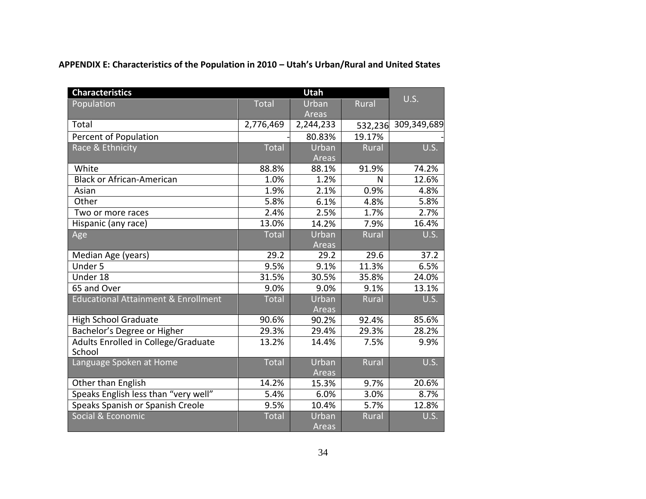**APPENDIX E: Characteristics of the Population in 2010 – Utah's Urban/Rural and United States**

<span id="page-33-0"></span>

| <b>Characteristics</b>                         |              | Utah         |              |             |  |
|------------------------------------------------|--------------|--------------|--------------|-------------|--|
| Population                                     | <b>Total</b> | Urban        | Rural        | U.S.        |  |
|                                                |              | Areas        |              |             |  |
| Total                                          | 2,776,469    | 2,244,233    | 532,236      | 309,349,689 |  |
| Percent of Population                          |              | 80.83%       | 19.17%       |             |  |
| Race & Ethnicity                               | <b>Total</b> | Urban        | <b>Rural</b> | <b>U.S.</b> |  |
|                                                |              | Areas        |              |             |  |
| White                                          | 88.8%        | 88.1%        | 91.9%        | 74.2%       |  |
| <b>Black or African-American</b>               | 1.0%         | 1.2%         | N            | 12.6%       |  |
| Asian                                          | 1.9%         | 2.1%         | 0.9%         | 4.8%        |  |
| Other                                          | 5.8%         | 6.1%         | 4.8%         | 5.8%        |  |
| Two or more races                              | 2.4%         | 2.5%         | 1.7%         | 2.7%        |  |
| Hispanic (any race)                            | 13.0%        | 14.2%        | 7.9%         | 16.4%       |  |
| Age                                            | Total        | Urban        | Rural        | U.S.        |  |
|                                                |              | Areas        |              |             |  |
| Median Age (years)                             | 29.2         | 29.2         | 29.6         | 37.2        |  |
| Under 5                                        | 9.5%         | 9.1%         | 11.3%        | 6.5%        |  |
| Under 18                                       | 31.5%        | 30.5%        | 35.8%        | 24.0%       |  |
| 65 and Over                                    | 9.0%         | 9.0%         | 9.1%         | 13.1%       |  |
| <b>Educational Attainment &amp; Enrollment</b> | <b>Total</b> | Urban        | Rural        | U.S.        |  |
|                                                |              | <b>Areas</b> |              |             |  |
| <b>High School Graduate</b>                    | 90.6%        | 90.2%        | 92.4%        | 85.6%       |  |
| Bachelor's Degree or Higher                    | 29.3%        | 29.4%        | 29.3%        | 28.2%       |  |
| Adults Enrolled in College/Graduate            | 13.2%        | 14.4%        | 7.5%         | 9.9%        |  |
| School                                         |              |              |              |             |  |
| Language Spoken at Home                        | <b>Total</b> | Urban        | Rural        | <b>U.S.</b> |  |
|                                                |              | Areas        |              |             |  |
| Other than English                             | 14.2%        | 15.3%        | 9.7%         | 20.6%       |  |
| Speaks English less than "very well"           | 5.4%         | 6.0%         | 3.0%         | 8.7%        |  |
| Speaks Spanish or Spanish Creole               | 9.5%         | 10.4%        | 5.7%         | 12.8%       |  |
| Social & Economic                              | <b>Total</b> | Urban        | Rural        | U.S.        |  |
|                                                |              | Areas        |              |             |  |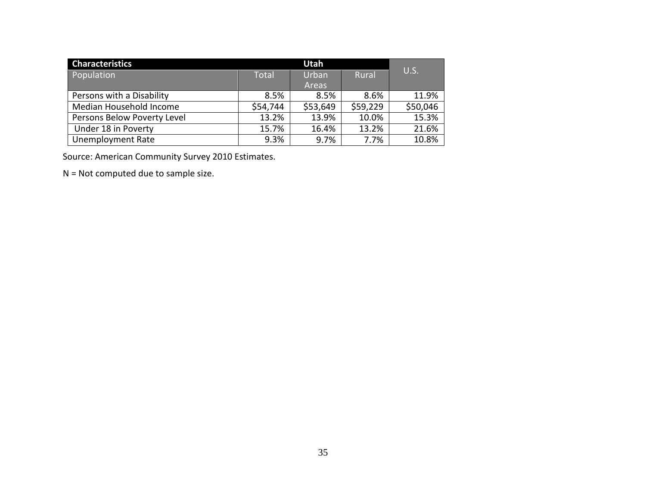| <b>Characteristics</b>      | Utah         |          |              |          |
|-----------------------------|--------------|----------|--------------|----------|
| Population                  | <b>Total</b> | Urban    | <b>Rural</b> | U.S.     |
|                             |              | Areas    |              |          |
| Persons with a Disability   | 8.5%         | 8.5%     | 8.6%         | 11.9%    |
| Median Household Income     | \$54,744     | \$53,649 | \$59,229     | \$50,046 |
| Persons Below Poverty Level | 13.2%        | 13.9%    | 10.0%        | 15.3%    |
| Under 18 in Poverty         | 15.7%        | 16.4%    | 13.2%        | 21.6%    |
| <b>Unemployment Rate</b>    | 9.3%         | 9.7%     | 7.7%         | 10.8%    |

Source: American Community Survey 2010 Estimates.

N = Not computed due to sample size.